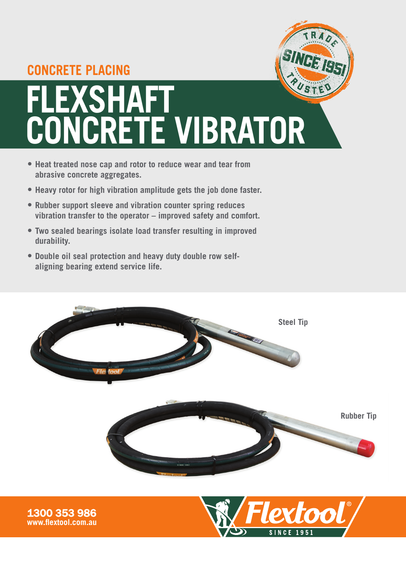## **CONCRETE PLACING**

**FLEXSHAFT** 

**www.flextool.com.au**



**SINCE 1951** 

- **• Heat treated nose cap and rotor to reduce wear and tear from abrasive concrete aggregates.**
- **• Heavy rotor for high vibration amplitude gets the job done faster.**
- **• Rubber support sleeve and vibration counter spring reduces vibration transfer to the operator – improved safety and comfort.**
- **• Two sealed bearings isolate load transfer resulting in improved durability.**
- **• Double oil seal protection and heavy duty double row selfaligning bearing extend service life.**